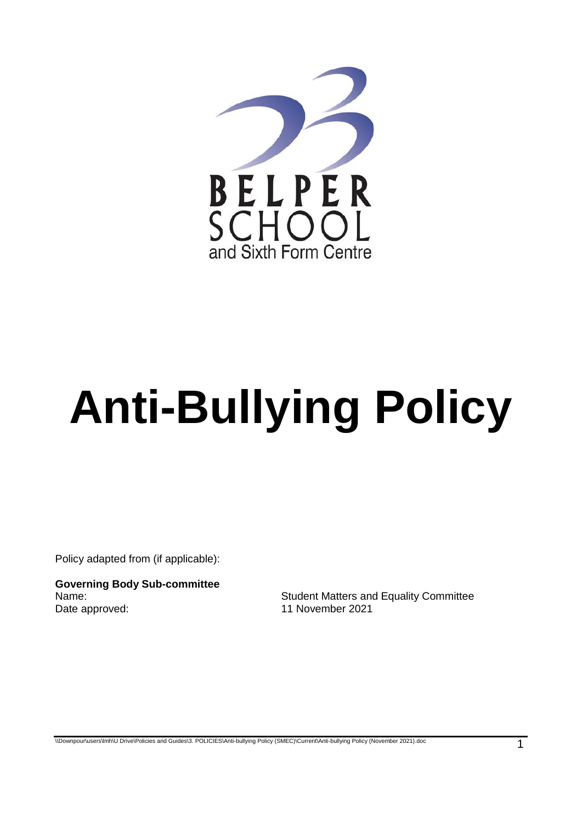

# **Anti-Bullying Policy**

Policy adapted from (if applicable):

**Governing Body Sub-committee** Date approved: 11 November 2021

Student Matters and Equality Committee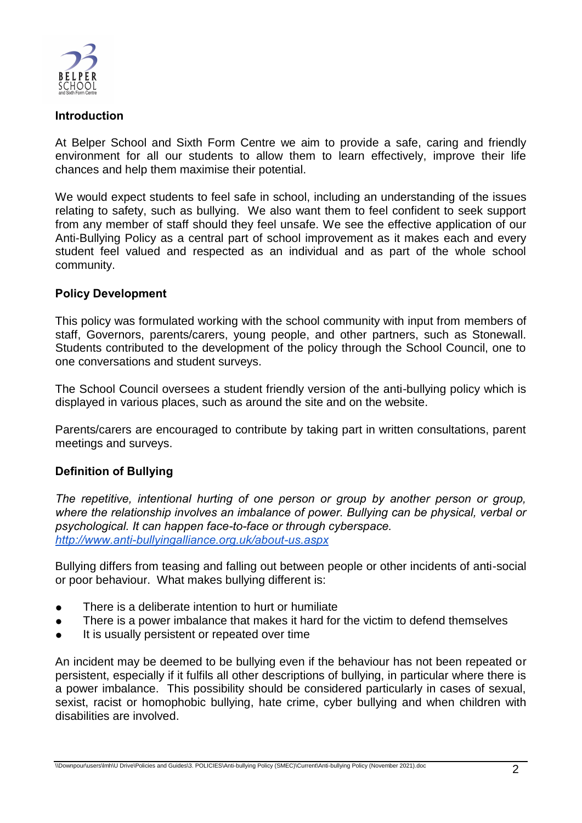

#### **Introduction**

At Belper School and Sixth Form Centre we aim to provide a safe, caring and friendly environment for all our students to allow them to learn effectively, improve their life chances and help them maximise their potential.

We would expect students to feel safe in school, including an understanding of the issues relating to safety, such as bullying. We also want them to feel confident to seek support from any member of staff should they feel unsafe. We see the effective application of our Anti-Bullying Policy as a central part of school improvement as it makes each and every student feel valued and respected as an individual and as part of the whole school community.

## **Policy Development**

This policy was formulated working with the school community with input from members of staff, Governors, parents/carers, young people, and other partners, such as Stonewall. Students contributed to the development of the policy through the School Council, one to one conversations and student surveys.

The School Council oversees a student friendly version of the anti-bullying policy which is displayed in various places, such as around the site and on the website.

Parents/carers are encouraged to contribute by taking part in written consultations, parent meetings and surveys.

## **Definition of Bullying**

*The repetitive, intentional hurting of one person or group by another person or group, where the relationship involves an imbalance of power. Bullying can be physical, verbal or psychological. It can happen face-to-face or through cyberspace. <http://www.anti-bullyingalliance.org.uk/about-us.aspx>*

Bullying differs from teasing and falling out between people or other incidents of anti-social or poor behaviour. What makes bullying different is:

- There is a deliberate intention to hurt or humiliate
- There is a power imbalance that makes it hard for the victim to defend themselves
- It is usually persistent or repeated over time

An incident may be deemed to be bullying even if the behaviour has not been repeated or persistent, especially if it fulfils all other descriptions of bullying, in particular where there is a power imbalance. This possibility should be considered particularly in cases of sexual, sexist, racist or homophobic bullying, hate crime, cyber bullying and when children with disabilities are involved.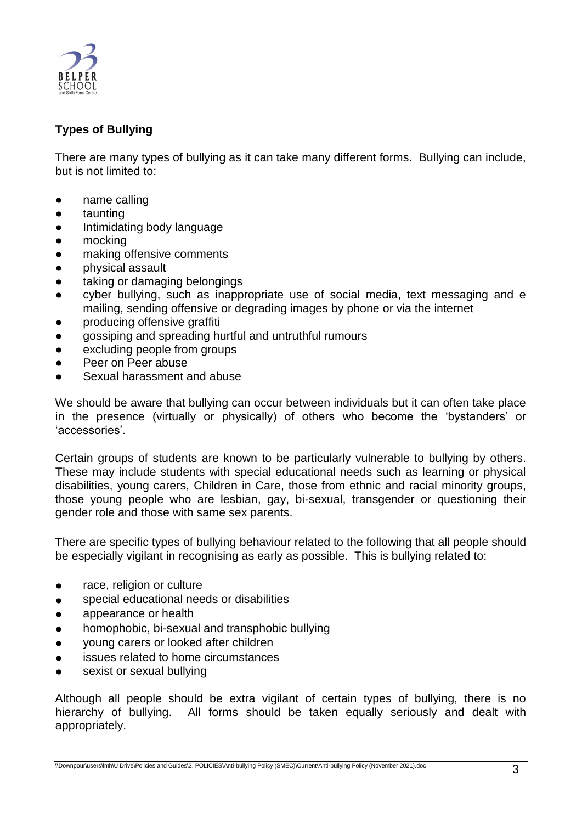

# **Types of Bullying**

There are many types of bullying as it can take many different forms. Bullying can include, but is not limited to:

- name calling
- taunting
- Intimidating body language
- mocking
- making offensive comments
- physical assault
- taking or damaging belongings
- cyber bullying, such as inappropriate use of social media, text messaging and e mailing, sending offensive or degrading images by phone or via the internet
- producing offensive graffiti
- gossiping and spreading hurtful and untruthful rumours
- excluding people from groups
- Peer on Peer abuse
- Sexual harassment and abuse

We should be aware that bullying can occur between individuals but it can often take place in the presence (virtually or physically) of others who become the 'bystanders' or 'accessories'.

Certain groups of students are known to be particularly vulnerable to bullying by others. These may include students with special educational needs such as learning or physical disabilities, young carers, Children in Care, those from ethnic and racial minority groups, those young people who are lesbian, gay, bi-sexual, transgender or questioning their gender role and those with same sex parents.

There are specific types of bullying behaviour related to the following that all people should be especially vigilant in recognising as early as possible. This is bullying related to:

- race, religion or culture
- special educational needs or disabilities
- appearance or health
- homophobic, bi-sexual and transphobic bullying
- young carers or looked after children
- issues related to home circumstances
- sexist or sexual bullying

Although all people should be extra vigilant of certain types of bullying, there is no hierarchy of bullying. All forms should be taken equally seriously and dealt with appropriately.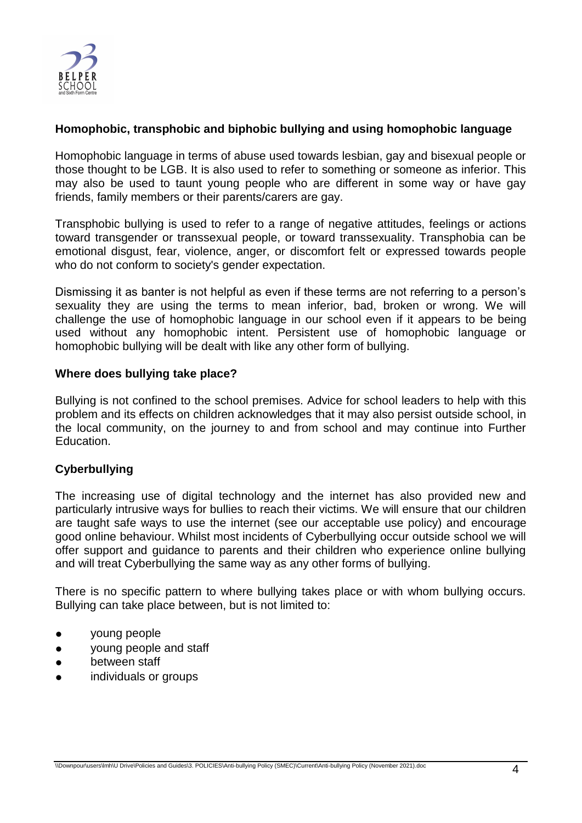

## **Homophobic, transphobic and biphobic bullying and using homophobic language**

Homophobic language in terms of abuse used towards lesbian, gay and bisexual people or those thought to be LGB. It is also used to refer to something or someone as inferior. This may also be used to taunt young people who are different in some way or have gay friends, family members or their parents/carers are gay.

Transphobic bullying is used to refer to a range of negative attitudes, feelings or actions toward transgender or transsexual people, or toward transsexuality. Transphobia can be emotional disgust, fear, violence, anger, or discomfort felt or expressed towards people who do not conform to society's gender expectation.

Dismissing it as banter is not helpful as even if these terms are not referring to a person's sexuality they are using the terms to mean inferior, bad, broken or wrong. We will challenge the use of homophobic language in our school even if it appears to be being used without any homophobic intent. Persistent use of homophobic language or homophobic bullying will be dealt with like any other form of bullying.

#### **Where does bullying take place?**

Bullying is not confined to the school premises. Advice for school leaders to help with this problem and its effects on children acknowledges that it may also persist outside school, in the local community, on the journey to and from school and may continue into Further Education.

## **Cyberbullying**

The increasing use of digital technology and the internet has also provided new and particularly intrusive ways for bullies to reach their victims. We will ensure that our children are taught safe ways to use the internet (see our acceptable use policy) and encourage good online behaviour. Whilst most incidents of Cyberbullying occur outside school we will offer support and guidance to parents and their children who experience online bullying and will treat Cyberbullying the same way as any other forms of bullying.

There is no specific pattern to where bullying takes place or with whom bullying occurs. Bullying can take place between, but is not limited to:

- young people
- young people and staff
- between staff
- individuals or groups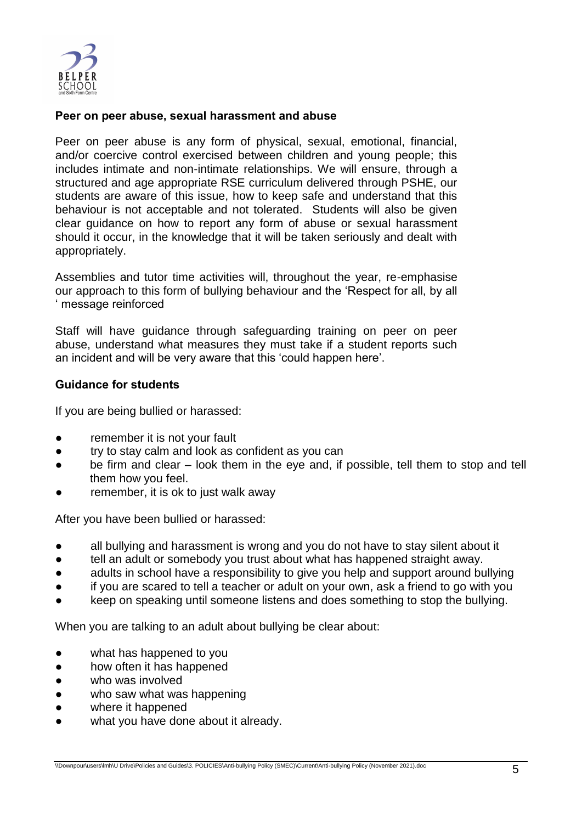

## **Peer on peer abuse, sexual harassment and abuse**

Peer on peer abuse is any form of physical, sexual, emotional, financial, and/or coercive control exercised between children and young people; this includes intimate and non-intimate relationships. We will ensure, through a structured and age appropriate RSE curriculum delivered through PSHE, our students are aware of this issue, how to keep safe and understand that this behaviour is not acceptable and not tolerated. Students will also be given clear guidance on how to report any form of abuse or sexual harassment should it occur, in the knowledge that it will be taken seriously and dealt with appropriately.

Assemblies and tutor time activities will, throughout the year, re-emphasise our approach to this form of bullying behaviour and the 'Respect for all, by all ' message reinforced

Staff will have guidance through safeguarding training on peer on peer abuse, understand what measures they must take if a student reports such an incident and will be very aware that this 'could happen here'.

## **Guidance for students**

If you are being bullied or harassed:

- remember it is not your fault
- try to stay calm and look as confident as you can
- be firm and clear look them in the eye and, if possible, tell them to stop and tell them how you feel.
- remember, it is ok to just walk away

After you have been bullied or harassed:

- all bullying and harassment is wrong and you do not have to stay silent about it
- tell an adult or somebody you trust about what has happened straight away.
- adults in school have a responsibility to give you help and support around bullying
- if you are scared to tell a teacher or adult on your own, ask a friend to go with you
- keep on speaking until someone listens and does something to stop the bullying.

When you are talking to an adult about bullying be clear about:

- what has happened to you
- how often it has happened
- who was involved
- who saw what was happening
- where it happened
- what you have done about it already.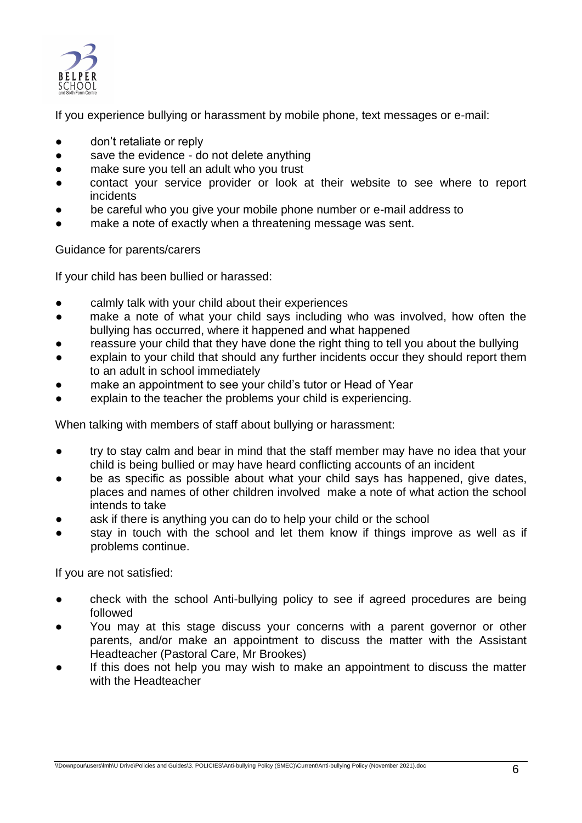

If you experience bullying or harassment by mobile phone, text messages or e-mail:

- don't retaliate or reply
- save the evidence do not delete anything
- make sure you tell an adult who you trust
- contact your service provider or look at their website to see where to report incidents
- be careful who you give your mobile phone number or e-mail address to
- make a note of exactly when a threatening message was sent.

## Guidance for parents/carers

If your child has been bullied or harassed:

- calmly talk with your child about their experiences
- make a note of what your child says including who was involved, how often the bullying has occurred, where it happened and what happened
- reassure your child that they have done the right thing to tell you about the bullying
- explain to your child that should any further incidents occur they should report them to an adult in school immediately
- make an appointment to see your child's tutor or Head of Year
- explain to the teacher the problems your child is experiencing.

When talking with members of staff about bullying or harassment:

- try to stay calm and bear in mind that the staff member may have no idea that your child is being bullied or may have heard conflicting accounts of an incident
- be as specific as possible about what your child says has happened, give dates, places and names of other children involved make a note of what action the school intends to take
- ask if there is anything you can do to help your child or the school
- stay in touch with the school and let them know if things improve as well as if problems continue.

If you are not satisfied:

- check with the school Anti-bullying policy to see if agreed procedures are being followed
- You may at this stage discuss your concerns with a parent governor or other parents, and/or make an appointment to discuss the matter with the Assistant Headteacher (Pastoral Care, Mr Brookes)
- If this does not help you may wish to make an appointment to discuss the matter with the Headteacher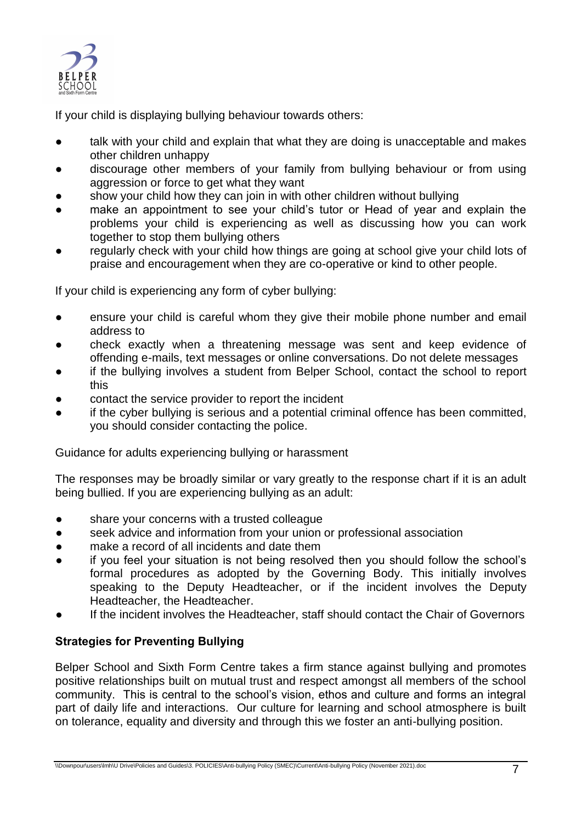

If your child is displaying bullying behaviour towards others:

- talk with your child and explain that what they are doing is unacceptable and makes other children unhappy
- discourage other members of your family from bullying behaviour or from using aggression or force to get what they want
- show your child how they can join in with other children without bullying
- make an appointment to see your child's tutor or Head of year and explain the problems your child is experiencing as well as discussing how you can work together to stop them bullying others
- regularly check with your child how things are going at school give your child lots of praise and encouragement when they are co-operative or kind to other people.

If your child is experiencing any form of cyber bullying:

- ensure your child is careful whom they give their mobile phone number and email address to
- check exactly when a threatening message was sent and keep evidence of offending e-mails, text messages or online conversations. Do not delete messages
- if the bullying involves a student from Belper School, contact the school to report this
- contact the service provider to report the incident
- if the cyber bullying is serious and a potential criminal offence has been committed. you should consider contacting the police.

Guidance for adults experiencing bullying or harassment

The responses may be broadly similar or vary greatly to the response chart if it is an adult being bullied. If you are experiencing bullying as an adult:

- share your concerns with a trusted colleague
- seek advice and information from your union or professional association
- make a record of all incidents and date them
- if you feel your situation is not being resolved then you should follow the school's formal procedures as adopted by the Governing Body. This initially involves speaking to the Deputy Headteacher, or if the incident involves the Deputy Headteacher, the Headteacher.
- If the incident involves the Headteacher, staff should contact the Chair of Governors

## **Strategies for Preventing Bullying**

Belper School and Sixth Form Centre takes a firm stance against bullying and promotes positive relationships built on mutual trust and respect amongst all members of the school community. This is central to the school's vision, ethos and culture and forms an integral part of daily life and interactions. Our culture for learning and school atmosphere is built on tolerance, equality and diversity and through this we foster an anti-bullying position.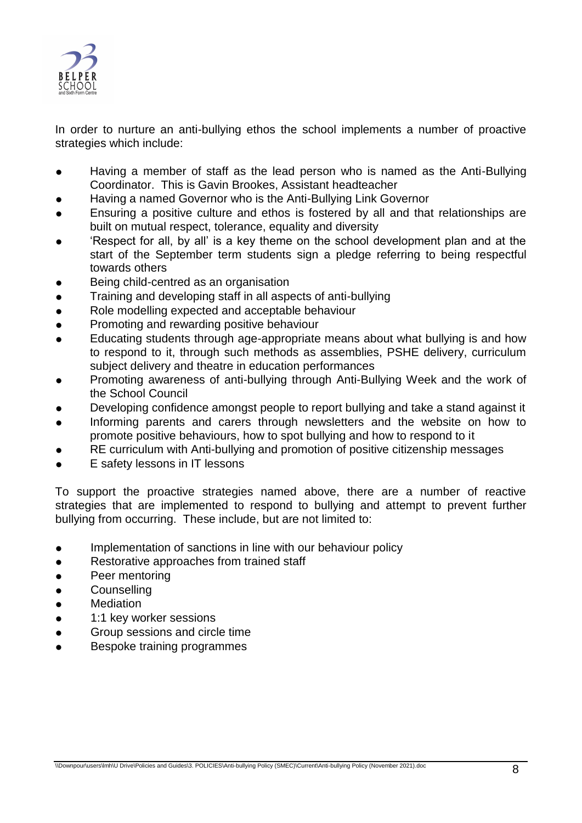

In order to nurture an anti-bullying ethos the school implements a number of proactive strategies which include:

- Having a member of staff as the lead person who is named as the Anti-Bullying Coordinator. This is Gavin Brookes, Assistant headteacher
- Having a named Governor who is the Anti-Bullying Link Governor
- Ensuring a positive culture and ethos is fostered by all and that relationships are built on mutual respect, tolerance, equality and diversity
- 'Respect for all, by all' is a key theme on the school development plan and at the start of the September term students sign a pledge referring to being respectful towards others
- Being child-centred as an organisation
- Training and developing staff in all aspects of anti-bullying
- Role modelling expected and acceptable behaviour
- Promoting and rewarding positive behaviour
- Educating students through age-appropriate means about what bullying is and how to respond to it, through such methods as assemblies, PSHE delivery, curriculum subject delivery and theatre in education performances
- Promoting awareness of anti-bullying through Anti-Bullying Week and the work of the School Council
- Developing confidence amongst people to report bullying and take a stand against it
- Informing parents and carers through newsletters and the website on how to promote positive behaviours, how to spot bullying and how to respond to it
- RE curriculum with Anti-bullying and promotion of positive citizenship messages
- E safety lessons in IT lessons

To support the proactive strategies named above, there are a number of reactive strategies that are implemented to respond to bullying and attempt to prevent further bullying from occurring. These include, but are not limited to:

- Implementation of sanctions in line with our behaviour policy
- Restorative approaches from trained staff
- Peer mentoring
- **Counselling**
- **Mediation**
- 1:1 key worker sessions
- Group sessions and circle time
- Bespoke training programmes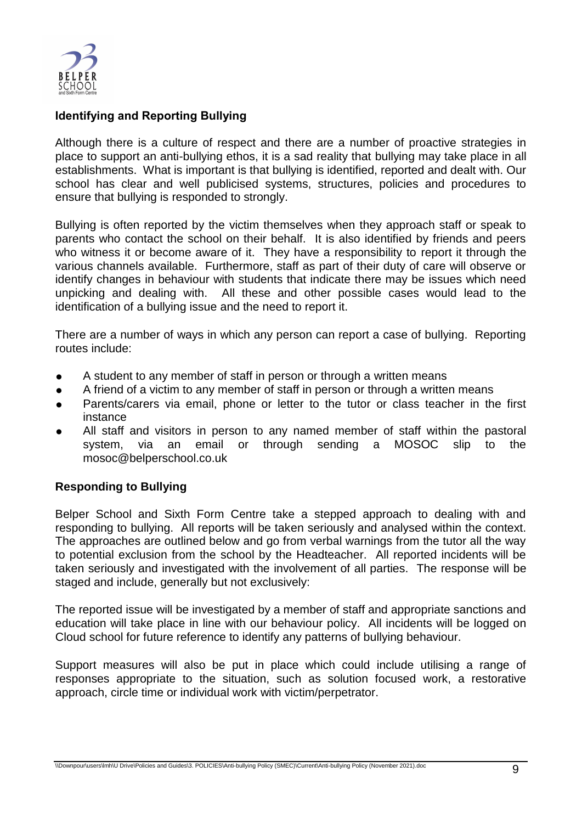

# **Identifying and Reporting Bullying**

Although there is a culture of respect and there are a number of proactive strategies in place to support an anti-bullying ethos, it is a sad reality that bullying may take place in all establishments. What is important is that bullying is identified, reported and dealt with. Our school has clear and well publicised systems, structures, policies and procedures to ensure that bullying is responded to strongly.

Bullying is often reported by the victim themselves when they approach staff or speak to parents who contact the school on their behalf. It is also identified by friends and peers who witness it or become aware of it. They have a responsibility to report it through the various channels available. Furthermore, staff as part of their duty of care will observe or identify changes in behaviour with students that indicate there may be issues which need unpicking and dealing with. All these and other possible cases would lead to the identification of a bullying issue and the need to report it.

There are a number of ways in which any person can report a case of bullying. Reporting routes include:

- A student to any member of staff in person or through a written means
- A friend of a victim to any member of staff in person or through a written means
- Parents/carers via email, phone or letter to the tutor or class teacher in the first instance
- All staff and visitors in person to any named member of staff within the pastoral system, via an email or through sending a MOSOC slip to the mosoc@belperschool.co.uk

## **Responding to Bullying**

Belper School and Sixth Form Centre take a stepped approach to dealing with and responding to bullying. All reports will be taken seriously and analysed within the context. The approaches are outlined below and go from verbal warnings from the tutor all the way to potential exclusion from the school by the Headteacher. All reported incidents will be taken seriously and investigated with the involvement of all parties. The response will be staged and include, generally but not exclusively:

The reported issue will be investigated by a member of staff and appropriate sanctions and education will take place in line with our behaviour policy. All incidents will be logged on Cloud school for future reference to identify any patterns of bullying behaviour.

Support measures will also be put in place which could include utilising a range of responses appropriate to the situation, such as solution focused work, a restorative approach, circle time or individual work with victim/perpetrator.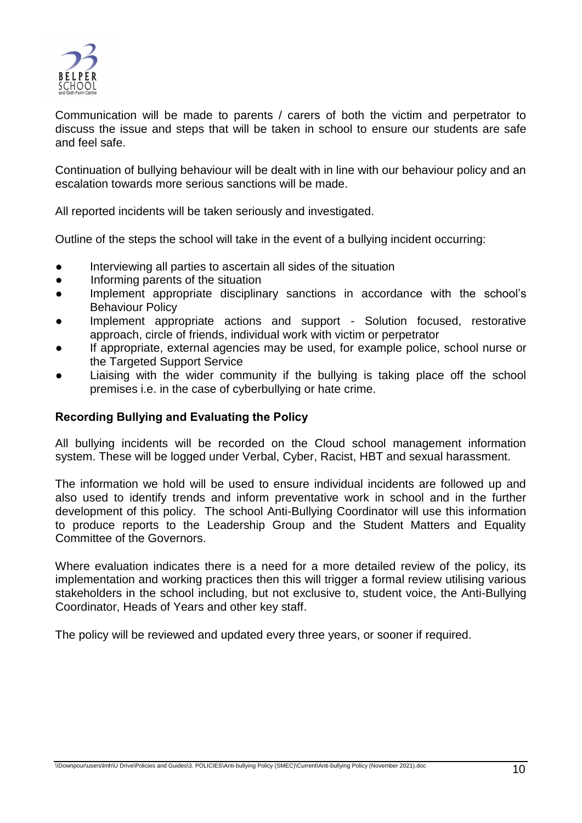

Communication will be made to parents / carers of both the victim and perpetrator to discuss the issue and steps that will be taken in school to ensure our students are safe and feel safe.

Continuation of bullying behaviour will be dealt with in line with our behaviour policy and an escalation towards more serious sanctions will be made.

All reported incidents will be taken seriously and investigated.

Outline of the steps the school will take in the event of a bullying incident occurring:

- Interviewing all parties to ascertain all sides of the situation
- Informing parents of the situation
- Implement appropriate disciplinary sanctions in accordance with the school's Behaviour Policy
- Implement appropriate actions and support Solution focused, restorative approach, circle of friends, individual work with victim or perpetrator
- If appropriate, external agencies may be used, for example police, school nurse or the Targeted Support Service
- Liaising with the wider community if the bullying is taking place off the school premises i.e. in the case of cyberbullying or hate crime.

## **Recording Bullying and Evaluating the Policy**

All bullying incidents will be recorded on the Cloud school management information system. These will be logged under Verbal, Cyber, Racist, HBT and sexual harassment.

The information we hold will be used to ensure individual incidents are followed up and also used to identify trends and inform preventative work in school and in the further development of this policy. The school Anti-Bullying Coordinator will use this information to produce reports to the Leadership Group and the Student Matters and Equality Committee of the Governors.

Where evaluation indicates there is a need for a more detailed review of the policy, its implementation and working practices then this will trigger a formal review utilising various stakeholders in the school including, but not exclusive to, student voice, the Anti-Bullying Coordinator, Heads of Years and other key staff.

The policy will be reviewed and updated every three years, or sooner if required.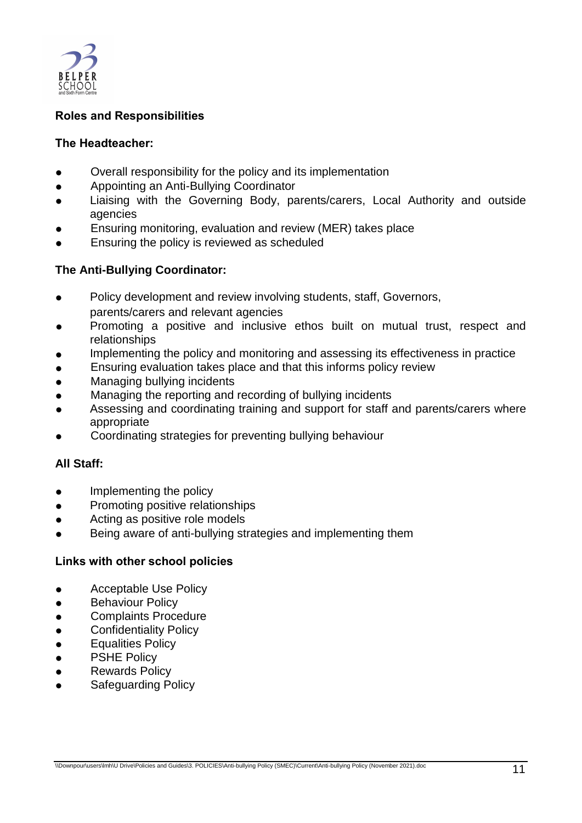

# **Roles and Responsibilities**

## **The Headteacher:**

- Overall responsibility for the policy and its implementation
- Appointing an Anti-Bullying Coordinator
- Liaising with the Governing Body, parents/carers, Local Authority and outside agencies
- Ensuring monitoring, evaluation and review (MER) takes place
- Ensuring the policy is reviewed as scheduled

## **The Anti-Bullying Coordinator:**

- Policy development and review involving students, staff, Governors, parents/carers and relevant agencies
- Promoting a positive and inclusive ethos built on mutual trust, respect and relationships
- Implementing the policy and monitoring and assessing its effectiveness in practice
- Ensuring evaluation takes place and that this informs policy review
- **Managing bullying incidents**
- Managing the reporting and recording of bullying incidents
- Assessing and coordinating training and support for staff and parents/carers where appropriate
- Coordinating strategies for preventing bullying behaviour

## **All Staff:**

- Implementing the policy
- Promoting positive relationships
- Acting as positive role models
- **•** Being aware of anti-bullying strategies and implementing them

## **Links with other school policies**

- Acceptable Use Policy
- **•** Behaviour Policy
- Complaints Procedure
- **•** Confidentiality Policy
- **Equalities Policy**
- **•** PSHE Policy
- **Rewards Policy**
- **Safeguarding Policy**